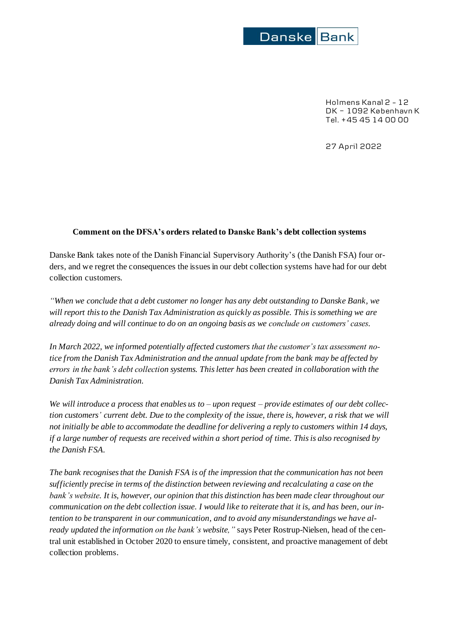

Holmens Kanal 2 – 12 DK - 1092 København K Tel. +45 45 14 00 00

27 April 2022

## **Comment on the DFSA's orders related to Danske Bank's debt collection systems**

Danske Bank takes note of the Danish Financial Supervisory Authority's (the Danish FSA) four orders, and we regret the consequences the issues in our debt collection systems have had for our debt collection customers.

*"When we conclude that a debt customer no longer has any debt outstanding to Danske Bank, we will report this to the Danish Tax Administration as quickly as possible. This is something we are already doing and will continue to do on an ongoing basis as we conclude on customers' cases.* 

*In March 2022, we informed potentially affected customers that the customer's tax assessment notice from the Danish Tax Administration and the annual update from the bank may be affected by errors in the bank's debt collection systems. This letter has been created in collaboration with the Danish Tax Administration.* 

*We will introduce a process that enables us to – upon request – provide estimates of our debt collection customers' current debt. Due to the complexity of the issue, there is, however, a risk that we will not initially be able to accommodate the deadline for delivering a reply to customers within 14 days, if a large number of requests are received within a short period of time. This is also recognised by the Danish FSA.*

*The bank recognisesthat the Danish FSA is of the impression that the communication has not been sufficiently precise in terms of the distinction between reviewing and recalculating a case on the bank's website. It is, however, our opinion that this distinction has been made clear throughout our communication on the debt collection issue. I would like to reiterate that it is, and has been, ourintention to be transparent in our communication, and to avoid any misunderstandings we have already updated the information on the bank's website,"* says Peter Rostrup-Nielsen, head of the central unit established in October 2020 to ensure timely, consistent, and proactive management of debt collection problems.